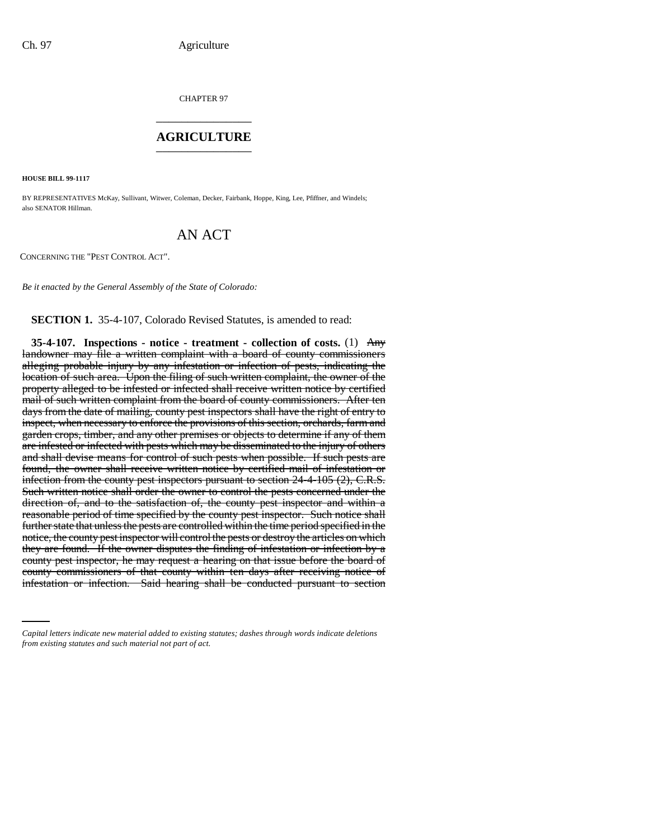CHAPTER 97 \_\_\_\_\_\_\_\_\_\_\_\_\_\_\_

## **AGRICULTURE** \_\_\_\_\_\_\_\_\_\_\_\_\_\_\_

**HOUSE BILL 99-1117** 

BY REPRESENTATIVES McKay, Sullivant, Witwer, Coleman, Decker, Fairbank, Hoppe, King, Lee, Pfiffner, and Windels; also SENATOR Hillman.

## AN ACT

CONCERNING THE "PEST CONTROL ACT".

*Be it enacted by the General Assembly of the State of Colorado:*

**SECTION 1.** 35-4-107, Colorado Revised Statutes, is amended to read:

county commissioners of that county within ten days after receiving notice of **35-4-107. Inspections - notice - treatment - collection of costs.** (1) Any landowner may file a written complaint with a board of county commissioners alleging probable injury by any infestation or infection of pests, indicating the location of such area. Upon the filing of such written complaint, the owner of the property alleged to be infested or infected shall receive written notice by certified mail of such written complaint from the board of county commissioners. After ten days from the date of mailing, county pest inspectors shall have the right of entry to inspect, when necessary to enforce the provisions of this section, orchards, farm and garden crops, timber, and any other premises or objects to determine if any of them are infested or infected with pests which may be disseminated to the injury of others and shall devise means for control of such pests when possible. If such pests are found, the owner shall receive written notice by certified mail of infestation or infection from the county pest inspectors pursuant to section  $24-4-105$  (2), C.R.S. Such written notice shall order the owner to control the pests concerned under the direction of, and to the satisfaction of, the county pest inspector and within a reasonable period of time specified by the county pest inspector. Such notice shall further state that unless the pests are controlled within the time period specified in the notice, the county pest inspector will control the pests or destroy the articles on which they are found. If the owner disputes the finding of infestation or infection by a county pest inspector, he may request a hearing on that issue before the board of infestation or infection. Said hearing shall be conducted pursuant to section

*Capital letters indicate new material added to existing statutes; dashes through words indicate deletions from existing statutes and such material not part of act.*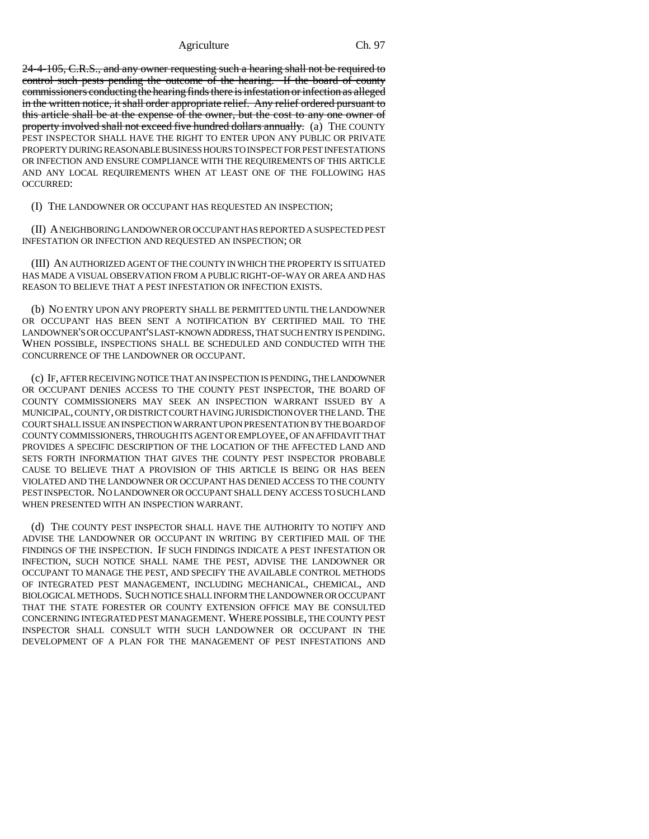## Agriculture Ch. 97

24-4-105, C.R.S., and any owner requesting such a hearing shall not be required to control such pests pending the outcome of the hearing. If the board of county commissioners conducting the hearing finds there is infestation or infection as alleged in the written notice, it shall order appropriate relief. Any relief ordered pursuant to this article shall be at the expense of the owner, but the cost to any one owner of property involved shall not exceed five hundred dollars annually. (a) THE COUNTY PEST INSPECTOR SHALL HAVE THE RIGHT TO ENTER UPON ANY PUBLIC OR PRIVATE PROPERTY DURING REASONABLE BUSINESS HOURS TO INSPECT FOR PEST INFESTATIONS OR INFECTION AND ENSURE COMPLIANCE WITH THE REQUIREMENTS OF THIS ARTICLE AND ANY LOCAL REQUIREMENTS WHEN AT LEAST ONE OF THE FOLLOWING HAS OCCURRED:

(I) THE LANDOWNER OR OCCUPANT HAS REQUESTED AN INSPECTION;

(II) A NEIGHBORING LANDOWNER OR OCCUPANT HAS REPORTED A SUSPECTED PEST INFESTATION OR INFECTION AND REQUESTED AN INSPECTION; OR

(III) AN AUTHORIZED AGENT OF THE COUNTY IN WHICH THE PROPERTY IS SITUATED HAS MADE A VISUAL OBSERVATION FROM A PUBLIC RIGHT-OF-WAY OR AREA AND HAS REASON TO BELIEVE THAT A PEST INFESTATION OR INFECTION EXISTS.

(b) NO ENTRY UPON ANY PROPERTY SHALL BE PERMITTED UNTIL THE LANDOWNER OR OCCUPANT HAS BEEN SENT A NOTIFICATION BY CERTIFIED MAIL TO THE LANDOWNER'S OR OCCUPANT'S LAST-KNOWN ADDRESS, THAT SUCH ENTRY IS PENDING. WHEN POSSIBLE, INSPECTIONS SHALL BE SCHEDULED AND CONDUCTED WITH THE CONCURRENCE OF THE LANDOWNER OR OCCUPANT.

(c) IF, AFTER RECEIVING NOTICE THAT AN INSPECTION IS PENDING, THE LANDOWNER OR OCCUPANT DENIES ACCESS TO THE COUNTY PEST INSPECTOR, THE BOARD OF COUNTY COMMISSIONERS MAY SEEK AN INSPECTION WARRANT ISSUED BY A MUNICIPAL, COUNTY, OR DISTRICT COURT HAVING JURISDICTION OVER THE LAND. THE COURT SHALL ISSUE AN INSPECTION WARRANT UPON PRESENTATION BY THE BOARD OF COUNTY COMMISSIONERS, THROUGH ITS AGENT OR EMPLOYEE, OF AN AFFIDAVIT THAT PROVIDES A SPECIFIC DESCRIPTION OF THE LOCATION OF THE AFFECTED LAND AND SETS FORTH INFORMATION THAT GIVES THE COUNTY PEST INSPECTOR PROBABLE CAUSE TO BELIEVE THAT A PROVISION OF THIS ARTICLE IS BEING OR HAS BEEN VIOLATED AND THE LANDOWNER OR OCCUPANT HAS DENIED ACCESS TO THE COUNTY PEST INSPECTOR. NO LANDOWNER OR OCCUPANT SHALL DENY ACCESS TO SUCH LAND WHEN PRESENTED WITH AN INSPECTION WARRANT.

(d) THE COUNTY PEST INSPECTOR SHALL HAVE THE AUTHORITY TO NOTIFY AND ADVISE THE LANDOWNER OR OCCUPANT IN WRITING BY CERTIFIED MAIL OF THE FINDINGS OF THE INSPECTION. IF SUCH FINDINGS INDICATE A PEST INFESTATION OR INFECTION, SUCH NOTICE SHALL NAME THE PEST, ADVISE THE LANDOWNER OR OCCUPANT TO MANAGE THE PEST, AND SPECIFY THE AVAILABLE CONTROL METHODS OF INTEGRATED PEST MANAGEMENT, INCLUDING MECHANICAL, CHEMICAL, AND BIOLOGICAL METHODS. SUCH NOTICE SHALL INFORM THE LANDOWNER OR OCCUPANT THAT THE STATE FORESTER OR COUNTY EXTENSION OFFICE MAY BE CONSULTED CONCERNING INTEGRATED PEST MANAGEMENT. WHERE POSSIBLE, THE COUNTY PEST INSPECTOR SHALL CONSULT WITH SUCH LANDOWNER OR OCCUPANT IN THE DEVELOPMENT OF A PLAN FOR THE MANAGEMENT OF PEST INFESTATIONS AND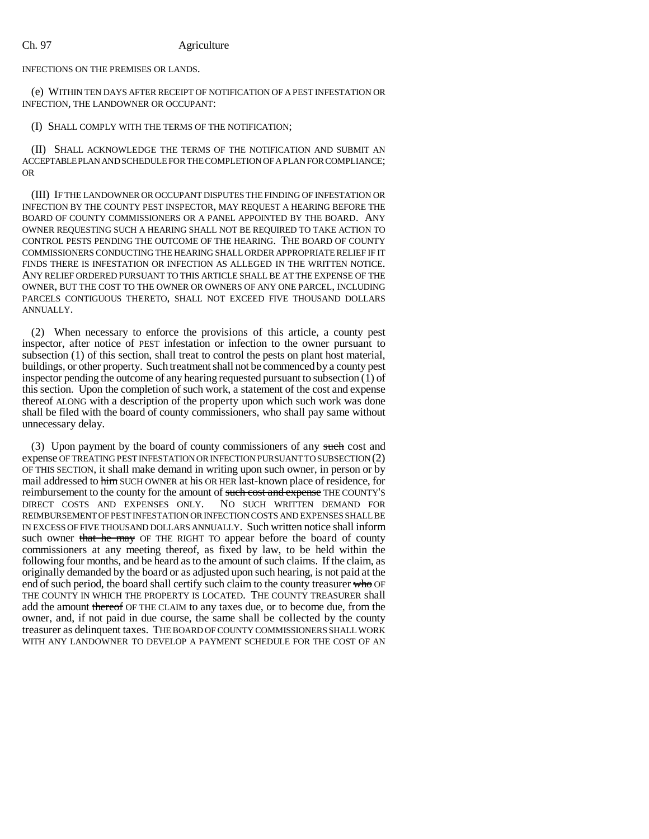INFECTIONS ON THE PREMISES OR LANDS.

(e) WITHIN TEN DAYS AFTER RECEIPT OF NOTIFICATION OF A PEST INFESTATION OR INFECTION, THE LANDOWNER OR OCCUPANT:

(I) SHALL COMPLY WITH THE TERMS OF THE NOTIFICATION;

(II) SHALL ACKNOWLEDGE THE TERMS OF THE NOTIFICATION AND SUBMIT AN ACCEPTABLE PLAN AND SCHEDULE FOR THE COMPLETION OF A PLAN FOR COMPLIANCE; OR

(III) IF THE LANDOWNER OR OCCUPANT DISPUTES THE FINDING OF INFESTATION OR INFECTION BY THE COUNTY PEST INSPECTOR, MAY REQUEST A HEARING BEFORE THE BOARD OF COUNTY COMMISSIONERS OR A PANEL APPOINTED BY THE BOARD. ANY OWNER REQUESTING SUCH A HEARING SHALL NOT BE REQUIRED TO TAKE ACTION TO CONTROL PESTS PENDING THE OUTCOME OF THE HEARING. THE BOARD OF COUNTY COMMISSIONERS CONDUCTING THE HEARING SHALL ORDER APPROPRIATE RELIEF IF IT FINDS THERE IS INFESTATION OR INFECTION AS ALLEGED IN THE WRITTEN NOTICE. ANY RELIEF ORDERED PURSUANT TO THIS ARTICLE SHALL BE AT THE EXPENSE OF THE OWNER, BUT THE COST TO THE OWNER OR OWNERS OF ANY ONE PARCEL, INCLUDING PARCELS CONTIGUOUS THERETO, SHALL NOT EXCEED FIVE THOUSAND DOLLARS ANNUALLY.

(2) When necessary to enforce the provisions of this article, a county pest inspector, after notice of PEST infestation or infection to the owner pursuant to subsection (1) of this section, shall treat to control the pests on plant host material, buildings, or other property. Such treatment shall not be commenced by a county pest inspector pending the outcome of any hearing requested pursuant to subsection (1) of this section. Upon the completion of such work, a statement of the cost and expense thereof ALONG with a description of the property upon which such work was done shall be filed with the board of county commissioners, who shall pay same without unnecessary delay.

(3) Upon payment by the board of county commissioners of any such cost and expense OF TREATING PEST INFESTATION OR INFECTION PURSUANT TO SUBSECTION (2) OF THIS SECTION, it shall make demand in writing upon such owner, in person or by mail addressed to him SUCH OWNER at his OR HER last-known place of residence, for reimbursement to the county for the amount of such cost and expense THE COUNTY'S DIRECT COSTS AND EXPENSES ONLY. NO SUCH WRITTEN DEMAND FOR REIMBURSEMENT OF PEST INFESTATION OR INFECTION COSTS AND EXPENSES SHALL BE IN EXCESS OF FIVE THOUSAND DOLLARS ANNUALLY. Such written notice shall inform such owner that he may OF THE RIGHT TO appear before the board of county commissioners at any meeting thereof, as fixed by law, to be held within the following four months, and be heard as to the amount of such claims. If the claim, as originally demanded by the board or as adjusted upon such hearing, is not paid at the end of such period, the board shall certify such claim to the county treasurer  $\theta$ THE COUNTY IN WHICH THE PROPERTY IS LOCATED. THE COUNTY TREASURER shall add the amount thereof OF THE CLAIM to any taxes due, or to become due, from the owner, and, if not paid in due course, the same shall be collected by the county treasurer as delinquent taxes. THE BOARD OF COUNTY COMMISSIONERS SHALL WORK WITH ANY LANDOWNER TO DEVELOP A PAYMENT SCHEDULE FOR THE COST OF AN